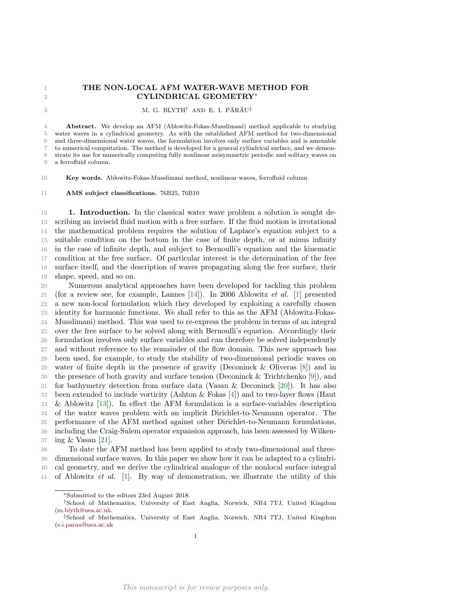## 1 THE NON-LOCAL AFM WATER-WAVE METHOD FOR CYLINDRICAL GEOMETRY<sup>∗</sup>

## 3 M. G. BLYTH<sup>†</sup> AND E. I. PĂRĂU<sup>‡</sup>

 Abstract. We develop an AFM (Ablowitz-Fokas-Musslimani) method applicable to studying water waves in a cylindrical geometry. As with the established AFM method for two-dimensional and three-dimensional water waves, the formulation involves only surface variables and is amenable to numerical computation. The method is developed for a general cylindrical surface, and we demon- strate its use for numerically computing fully nonlinear axisymmetric periodic and solitary waves on a ferrofluid column.

Key words. Ablowitz-Fokas-Musslimani method, nonlinear waves, ferrofluid column

11 AMS subject classifications. 76B25, 76B10

 1. Introduction. In the classical water wave problem a solution is sought de- scribing an inviscid fluid motion with a free surface. If the fluid motion is irrotational the mathematical problem requires the solution of Laplace's equation subject to a suitable condition on the bottom in the case of finite depth, or at minus infinity in the case of infinite depth, and subject to Bernoulli's equation and the kinematic condition at the free surface. Of particular interest is the determination of the free surface itself, and the description of waves propagating along the free surface, their shape, speed, and so on.

 Numerous analytical approaches have been developed for tackling this problem 21 (for a review see, for example, Lannes [\[14\]](#page-10-0)). In 2006 Ablowitz *et al.* [\[1\]](#page-10-1) presented a new non-local formulation which they developed by exploiting a carefully chosen identity for harmonic functions. We shall refer to this as the AFM (Ablowitz-Fokas- Musslimani) method. This was used to re-express the problem in terms of an integral over the free surface to be solved along with Bernoulli's equation. Accordingly their formulation involves only surface variables and can therefore be solved independently and without reference to the remainder of the flow domain. This new approach has been used, for example, to study the stability of two-dimensional periodic waves on water of finite depth in the presence of gravity (Deconinck & Oliveras [\[8\]](#page-10-2)) and in the presence of both gravity and surface tension (Deconinck & Trichtchenko [\[9\]](#page-10-3)), and for bathymetry detection from surface data (Vasan & Deconinck [\[20\]](#page-10-4)). It has also been extended to include vorticity (Ashton & Fokas [\[4\]](#page-10-5)) and to two-layer flows (Haut & Ablowitz [\[13\]](#page-10-6)). In effect the AFM formulation is a surface-variables description of the water waves problem with an implicit Dirichlet-to-Neumann operator. The performance of the AFM method against other Dirichlet-to-Neumann formulations, including the Craig-Sulem operator expansion approach, has been assessed by Wilken-ing & Vasan [\[21\]](#page-10-7).

 To date the AFM method has been applied to study two-dimensional and three- dimensional surface waves. In this paper we show how it can be adapted to a cylindri-cal geometry, and we derive the cylindrical analogue of the nonlocal surface integral

of Ablowitz et al. [\[1\]](#page-10-1). By way of demonstration, we illustrate the utility of this

<sup>∗</sup>Submitted to the editors 23rd August 2018.

<sup>†</sup>School of Mathematics, University of East Anglia, Norwich, NR4 7TJ, United Kingdom [\(m.blyth@uea.ac.uk.](mailto:m.blyth@uea.ac.uk)

<sup>‡</sup>School of Mathematics, University of East Anglia, Norwich, NR4 7TJ, United Kingdom [\(e.i.parau@uea.ac.uk](mailto:e.i.parau@uea.ac.uk)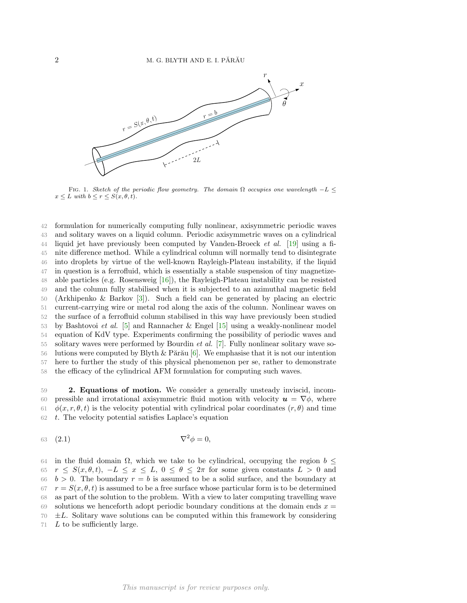

FIG. 1. Sketch of the periodic flow geometry. The domain  $\Omega$  occupies one wavelength  $-L \leq$  $x \leq L$  with  $b \leq r \leq S(x, \theta, t)$ .

 formulation for numerically computing fully nonlinear, axisymmetric periodic waves and solitary waves on a liquid column. Periodic axisymmetric waves on a cylindrical liquid jet have previously been computed by Vanden-Broeck et al. [\[19\]](#page-10-8) using a fi- nite difference method. While a cylindrical column will normally tend to disintegrate into droplets by virtue of the well-known Rayleigh-Plateau instability, if the liquid in question is a ferrofluid, which is essentially a stable suspension of tiny magnetize- able particles (e.g. Rosensweig [\[16\]](#page-10-9)), the Rayleigh-Plateau instability can be resisted and the column fully stabilised when it is subjected to an azimuthal magnetic field (Arkhipenko & Barkov [\[3\]](#page-10-10)). Such a field can be generated by placing an electric current-carrying wire or metal rod along the axis of the column. Nonlinear waves on the surface of a ferrofluid column stabilised in this way have previously been studied by Bashtovoi et al. [\[5\]](#page-10-11) and Rannacher & Engel [\[15\]](#page-10-12) using a weakly-nonlinear model equation of KdV type. Experiments confirming the possibility of periodic waves and solitary waves were performed by Bourdin *et al.* [\[7\]](#page-10-13). Fully nonlinear solitary wave so-56 lutions were computed by Blyth & Părău [\[6\]](#page-10-14). We emphasise that it is not our intention here to further the study of this physical phenomenon per se, rather to demonstrate the efficacy of the cylindrical AFM formulation for computing such waves.

<span id="page-1-0"></span> 2. Equations of motion. We consider a generally unsteady inviscid, incom-60 pressible and irrotational axisymmetric fluid motion with velocity  $u = \nabla \phi$ , where  $\phi(x, r, \theta, t)$  is the velocity potential with cylindrical polar coordinates  $(r, \theta)$  and time t. The velocity potential satisfies Laplace's equation

$$
63 \quad (2.1) \qquad \qquad \nabla^2 \phi = 0,
$$

64 in the fluid domain  $\Omega$ , which we take to be cylindrical, occupying the region  $b \leq$ 65  $r \leq S(x,\theta,t)$ ,  $-L \leq x \leq L$ ,  $0 \leq \theta \leq 2\pi$  for some given constants  $L > 0$  and  $66 \t b > 0$ . The boundary  $r = b$  is assumed to be a solid surface, and the boundary at 67  $r = S(x, \theta, t)$  is assumed to be a free surface whose particular form is to be determined 68 as part of the solution to the problem. With a view to later computing travelling wave 69 solutions we henceforth adopt periodic boundary conditions at the domain ends  $x =$  $70 \pm L$ . Solitary wave solutions can be computed within this framework by considering 71  $L$  to be sufficiently large.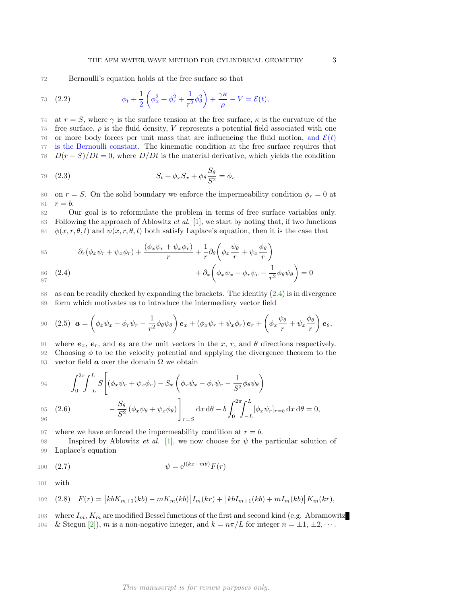72 Bernoulli's equation holds at the free surface so that

<span id="page-2-4"></span>73 (2.2) 
$$
\phi_t + \frac{1}{2} \left( \phi_x^2 + \phi_r^2 + \frac{1}{r^2} \phi_\theta^2 \right) + \frac{\gamma \kappa}{\rho} - V = \mathcal{E}(t),
$$

74 at  $r = S$ , where  $\gamma$  is the surface tension at the free surface,  $\kappa$  is the curvature of the 75 free surface,  $\rho$  is the fluid density, V represents a potential field associated with one 76 or more body forces per unit mass that are influencing the fluid motion, and  $\mathcal{E}(t)$ 77 is the Bernoulli constant. The kinematic condition at the free surface requires that 78  $D(r - S)/Dt = 0$ , where  $D/Dt$  is the material derivative, which yields the condition

<span id="page-2-3"></span>79 (2.3) 
$$
S_t + \phi_x S_x + \phi_\theta \frac{S_\theta}{S^2} = \phi_r
$$

80 on  $r = S$ . On the solid boundary we enforce the impermeability condition  $\phi_r = 0$  at 81  $r = b$ .

82 Our goal is to reformulate the problem in terms of free surface variables only. 83 Following the approach of Ablowitz  $et$  al. [\[1\]](#page-10-1), we start by noting that, if two functions 84  $\phi(x, r, \theta, t)$  and  $\psi(x, r, \theta, t)$  both satisfy Laplace's equation, then it is the case that

85 
$$
\partial_r(\phi_x \psi_r + \psi_x \phi_r) + \frac{(\phi_x \psi_r + \psi_x \phi_r)}{r} + \frac{1}{r} \partial_\theta \left( \phi_x \frac{\psi_\theta}{r} + \psi_x \frac{\phi_\theta}{r} \right)
$$
  
86 (2.4) 
$$
+ \partial_x \left( \phi_x \psi_x - \phi_r \psi_r - \frac{1}{r^2} \phi_\theta \psi_\theta \right) = 0
$$

<span id="page-2-0"></span>
$$
87
$$
\n
$$
88
$$
\nas can be readily checked by expanding the brackets. The identity (2.4) is in divergence

89 form which motivates us to introduce the intermediary vector field

90 (2.5) 
$$
\mathbf{a} = \left(\phi_x \psi_x - \phi_r \psi_r - \frac{1}{r^2} \phi_\theta \psi_\theta\right) \mathbf{e}_x + \left(\phi_x \psi_r + \psi_x \phi_r\right) \mathbf{e}_r + \left(\phi_x \frac{\psi_\theta}{r} + \psi_x \frac{\phi_\theta}{r}\right) \mathbf{e}_\theta,
$$

91 where  $e_x$ ,  $e_r$ , and  $e_\theta$  are the unit vectors in the x, r, and  $\theta$  directions respectively. 92 Choosing  $\phi$  to be the velocity potential and applying the divergence theorem to the 93 vector field **a** over the domain  $\Omega$  we obtain

<span id="page-2-2"></span>94 
$$
\int_0^{2\pi} \int_{-L}^L S\left[ (\phi_x \psi_r + \psi_x \phi_r) - S_x \left( \phi_x \psi_x - \phi_r \psi_r - \frac{1}{S^2} \phi_\theta \psi_\theta \right) - \frac{S_\theta}{S^2} (\phi_x \psi_\theta + \psi_x \phi_\theta) \right]_{r=S} dx d\theta - b \int_0^{2\pi} \int_{-L}^L [\phi_x \psi_r]_{r=b} dx d\theta = 0,
$$

97 where we have enforced the impermeability condition at  $r = b$ . 98 Inspired by Ablowitz *et al.* [\[1\]](#page-10-1), we now choose for  $\psi$  the particular solution of

<span id="page-2-1"></span>99 Laplace's equation

$$
\psi = e^{i(kx + m\theta)}F(r)
$$

101 with

102 (2.8) 
$$
F(r) = [kbK_{m+1}(kb) - mK_m(kb)]I_m(kr) + [kbI_{m+1}(kb) + mI_m(kb)]K_m(kr),
$$

- 103 where  $I_m$ ,  $K_m$  are modified Bessel functions of the first and second kind (e.g. Abramowitz
- 104 & Stegun [\[2\]](#page-10-15)), m is a non-negative integer, and  $k = n\pi/L$  for integer  $n = \pm 1, \pm 2, \cdots$ .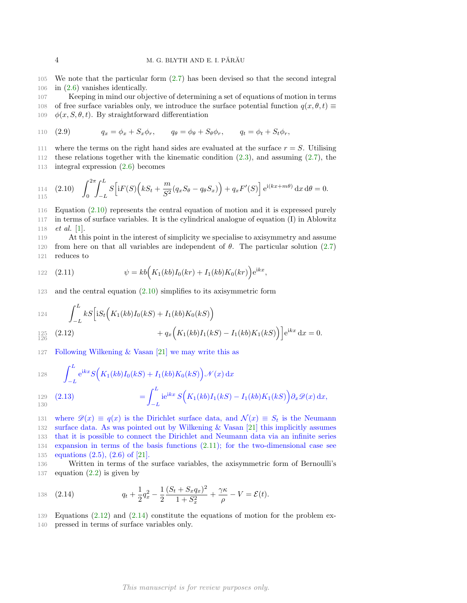105 We note that the particular form [\(2.7\)](#page-2-1) has been devised so that the second integral 106 in  $(2.6)$  vanishes identically.

107 Keeping in mind our objective of determining a set of equations of motion in terms 108 of free surface variables only, we introduce the surface potential function  $q(x, \theta, t) \equiv$ 109  $\phi(x, S, \theta, t)$ . By straightforward differentiation

110 (2.9) 
$$
q_x = \phi_x + S_x \phi_r, \qquad q_\theta = \phi_\theta + S_\theta \phi_r, \qquad q_t = \phi_t + S_t \phi_r,
$$

111 where the terms on the right hand sides are evaluated at the surface  $r = S$ . Utilising 112 these relations together with the kinematic condition [\(2.3\)](#page-2-3), and assuming [\(2.7\)](#page-2-1), the

113 integral expression [\(2.6\)](#page-2-2) becomes

<span id="page-3-0"></span>
$$
114 \quad (2.10) \quad \int_0^{2\pi} \int_{-L}^L S\Big[ iF(S)\Big(kS_t + \frac{m}{S^2}(q_xS_\theta - q_\theta S_x)\Big) + q_x F'(S) \Big] e^{i(kx + m\theta)} dx d\theta = 0.
$$

116 Equation [\(2.10\)](#page-3-0) represents the central equation of motion and it is expressed purely 117 in terms of surface variables. It is the cylindrical analogue of equation (I) in Ablowitz 118 et al. [\[1\]](#page-10-1).

119 At this point in the interest of simplicity we specialise to axisymmetry and assume 120 from here on that all variables are independent of  $\theta$ . The particular solution [\(2.7\)](#page-2-1) 121 reduces to

<span id="page-3-1"></span>122 (2.11) 
$$
\psi = kb \Big( K_1(kb)I_0(kr) + I_1(kb)K_0(kr) \Big) e^{ikx},
$$

123 and the central equation [\(2.10\)](#page-3-0) simplifies to its axisymmetric form

<span id="page-3-2"></span>
$$
124 \int_{-L}^{L} kS \Big[ iS_t \Big( K_1(kb)I_0(kS) + I_1(kb)K_0(kS) \Big) + q_x \Big( K_1(kb)I_1(kS) - I_1(kb)K_1(kS) \Big) \Big] e^{ikx} dx = 0.
$$

127 Following Wilkening & Vasan [\[21\]](#page-10-7) we may write this as

<span id="page-3-4"></span>128 
$$
\int_{-L}^{L} e^{ikx} S(K_1(kb)I_0(kS) + I_1(kb)K_0(kS)) \mathcal{N}(x) dx
$$
  
\n129 (2.13) 
$$
= \int_{-L}^{L} i e^{ikx} S(K_1(kb)I_1(kS) - I_1(kb)K_1(kS)) \partial_x \mathcal{D}(x) dx,
$$

131 where  $\mathscr{D}(x) \equiv q(x)$  is the Dirichlet surface data, and  $\mathcal{N}(x) \equiv S_t$  is the Neumann surface data. As was pointed out by Wilkening & Vasan [\[21\]](#page-10-7) this implicitly assumes that it is possible to connect the Dirichlet and Neumann data via an infinite series expansion in terms of the basis functions [\(2.11\)](#page-3-1); for the two-dimensional case see equations (2.5), (2.6) of [\[21\]](#page-10-7).

136 Written in terms of the surface variables, the axisymmetric form of Bernoulli's 137 equation  $(2.2)$  is given by

<span id="page-3-3"></span>138 (2.14) 
$$
q_t + \frac{1}{2}q_x^2 - \frac{1}{2}\frac{(S_t + S_x q_x)^2}{1 + S_x^2} + \frac{\gamma \kappa}{\rho} - V = \mathcal{E}(t).
$$

139 Equations [\(2.12\)](#page-3-2) and [\(2.14\)](#page-3-3) constitute the equations of motion for the problem ex-

140 pressed in terms of surface variables only.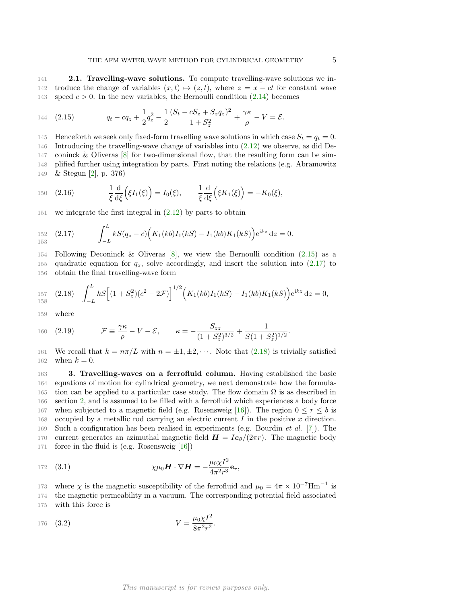141 2.1. Travelling-wave solutions. To compute travelling-wave solutions we in-142 troduce the change of variables  $(x, t) \mapsto (z, t)$ , where  $z = x - ct$  for constant wave 143 speed  $c > 0$ . In the new variables, the Bernoulli condition  $(2.14)$  becomes

<span id="page-4-0"></span>144 (2.15) 
$$
q_t - cq_z + \frac{1}{2}q_z^2 - \frac{1}{2}\frac{(S_t - cS_z + S_zq_z)^2}{1 + S_z^2} + \frac{\gamma \kappa}{\rho} - V = \mathcal{E}.
$$

145 Henceforth we seek only fixed-form travelling wave solutions in which case  $S_t = q_t = 0$ . Introducing the travelling-wave change of variables into [\(2.12\)](#page-3-2) we observe, as did De- coninck & Oliveras [\[8\]](#page-10-2) for two-dimensional flow, that the resulting form can be sim- plified further using integration by parts. First noting the relations (e.g. Abramowitz & Stegun [\[2\]](#page-10-15), p. 376)

150 (2.16) 
$$
\frac{1}{\xi} \frac{d}{d\xi} (\xi I_1(\xi)) = I_0(\xi), \qquad \frac{1}{\xi} \frac{d}{d\xi} (\xi K_1(\xi)) = -K_0(\xi),
$$

151 we integrate the first integral in  $(2.12)$  by parts to obtain

<span id="page-4-1"></span>
$$
152 \quad (2.17) \qquad \int_{-L}^{L} kS(q_z - c) \Big( K_1(kb)I_1(kS) - I_1(kb)K_1(kS) \Big) e^{ikz} dz = 0.
$$

154 Following Deconinck & Oliveras [\[8\]](#page-10-2), we view the Bernoulli condition [\(2.15\)](#page-4-0) as a 155 quadratic equation for  $q_z$ , solve accordingly, and insert the solution into [\(2.17\)](#page-4-1) to 156 obtain the final travelling-wave form

<span id="page-4-2"></span>
$$
{}_{157}^{157} (2.18) \int_{-L}^{L} kS \Big[ (1+S_z^2)(c^2-2\mathcal{F}) \Big]^{1/2} \Big( K_1(kb)I_1(kS) - I_1(kb)K_1(kS) \Big) e^{\mathrm{i}kz} \, \mathrm{d}z = 0,
$$

159 where

<span id="page-4-3"></span>160 (2.19) 
$$
\mathcal{F} \equiv \frac{\gamma \kappa}{\rho} - V - \mathcal{E}, \qquad \kappa = -\frac{S_{zz}}{(1 + S_z^2)^{3/2}} + \frac{1}{S(1 + S_z^2)^{1/2}}.
$$

161 We recall that  $k = n\pi/L$  with  $n = \pm 1, \pm 2, \cdots$ . Note that [\(2.18\)](#page-4-2) is trivially satisfied 162 when  $k = 0$ .

163 3. Travelling-waves on a ferrofluid column. Having established the basic 164 equations of motion for cylindrical geometry, we next demonstrate how the formula-165 tion can be applied to a particular case study. The flow domain  $\Omega$  is as described in 166 section [2,](#page-1-0) and is assumed to be filled with a ferrofluid which experiences a body force 167 when subjected to a magnetic field (e.g. Rosensweig [\[16\]](#page-10-9)). The region  $0 \le r \le b$  is 168 occupied by a metallic rod carrying an electric current  $I$  in the positive  $x$  direction. 169 Such a configuration has been realised in experiments (e.g. Bourdin *et al.* [\[7\]](#page-10-13)). The 170 current generates an azimuthal magnetic field  $\mathbf{H} = I\mathbf{e}_{\theta}/(2\pi r)$ . The magnetic body 171 force in the fluid is (e.g. Rosensweig [\[16\]](#page-10-9))

$$
\chi \mu_0 \mathbf{H} \cdot \nabla \mathbf{H} = -\frac{\mu_0 \chi I^2}{4\pi^2 r^3} \mathbf{e}_r,
$$

173 where  $\chi$  is the magnetic susceptibility of the ferrofluid and  $\mu_0 = 4\pi \times 10^{-7}$ Hm<sup>-1</sup> is 174 the magnetic permeability in a vacuum. The corresponding potential field associated 175 with this force is

176 (3.2) 
$$
V = \frac{\mu_0 \chi I^2}{8\pi^2 r^2}.
$$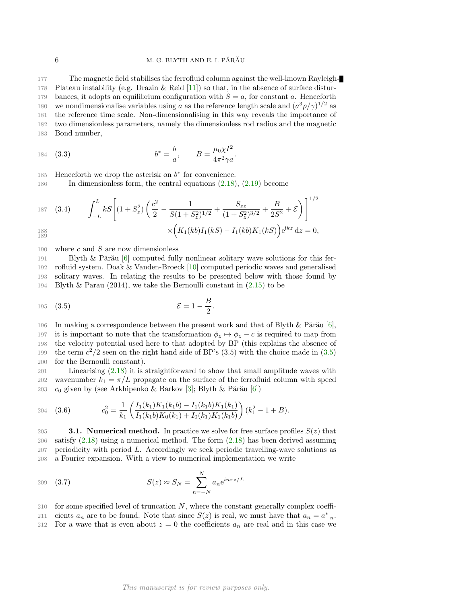The magnetic field stabilises the ferrofluid column against the well-known Rayleigh- Plateau instability (e.g. Drazin & Reid [\[11\]](#page-10-16)) so that, in the absence of surface distur-179 bances, it adopts an equilibrium configuration with  $S = a$ , for constant a. Henceforth 180 we nondimensionalise variables using a as the reference length scale and  $(a^3\rho/\gamma)^{1/2}$  as the reference time scale. Non-dimensionalising in this way reveals the importance of two dimensionless parameters, namely the dimensionless rod radius and the magnetic Bond number,

184 (3.3) 
$$
b^* = \frac{b}{a}, \qquad B = \frac{\mu_0 \chi I^2}{4\pi^2 \gamma a}.
$$

185 Henceforth we drop the asterisk on  $b^*$  for convenience.

186 In dimensionless form, the central equations [\(2.18\)](#page-4-2), [\(2.19\)](#page-4-3) become

187 (3.4) 
$$
\int_{-L}^{L} kS \left[ (1+S_z^2) \left( \frac{c^2}{2} - \frac{1}{S(1+S_z^2)^{1/2}} + \frac{S_{zz}}{(1+S_z^2)^{3/2}} + \frac{B}{2S^2} + \mathcal{E} \right) \right]^{1/2} \times \left( K_1(kb)I_1(kS) - I_1(kb)K_1(kS) \right) e^{ikz} dz = 0,
$$

$$
^{189}_{189}
$$

190 where c and S are now dimensionless

191 Blyth & Părău  $[6]$  computed fully nonlinear solitary wave solutions for this fer- rofluid system. Doak & Vanden-Broeck [\[10\]](#page-10-17) computed periodic waves and generalised solitary waves. In relating the results to be presented below with those found by Blyth & Parau (2014), we take the Bernoulli constant in [\(2.15\)](#page-4-0) to be

<span id="page-5-0"></span>195 (3.5) 
$$
\mathcal{E} = 1 - \frac{B}{2}.
$$

196 In making a correspondence between the present work and that of Blyth  $\&$  Părău [\[6\]](#page-10-14), 197 it is important to note that the transformation  $\phi_z \mapsto \phi_z - c$  is required to map from 198 the velocity potential used here to that adopted by BP (this explains the absence of 199 the term  $c^2/2$  seen on the right hand side of BP's [\(3.5\)](#page-5-0) with the choice made in (3.5) 200 for the Bernoulli constant).

201 Linearising [\(2.18\)](#page-4-2) it is straightforward to show that small amplitude waves with 202 wavenumber  $k_1 = \pi/L$  propagate on the surface of the ferrofluid column with speed 203  $c_0$  given by (see Arkhipenko & Barkov [\[3\]](#page-10-10); Blyth & Părău [\[6\]](#page-10-14))

<span id="page-5-3"></span>204 (3.6) 
$$
c_0^2 = \frac{1}{k_1} \left( \frac{I_1(k_1)K_1(k_1b) - I_1(k_1b)K_1(k_1)}{I_1(k_1b)K_0(k_1) + I_0(k_1)K_1(k_1b)} \right) (k_1^2 - 1 + B).
$$

<span id="page-5-2"></span>**3.1. Numerical method.** In practice we solve for free surface profiles  $S(z)$  that satisfy [\(2.18\)](#page-4-2) using a numerical method. The form [\(2.18\)](#page-4-2) has been derived assuming periodicity with period L. Accordingly we seek periodic travelling-wave solutions as a Fourier expansion. With a view to numerical implementation we write

<span id="page-5-1"></span>
$$
S(z) \approx S_N = \sum_{n=-N}^{N} a_n e^{in\pi z/L}
$$

 $210$  for some specified level of truncation  $N$ , where the constant generally complex coeffi-

211 cients  $a_n$  are to be found. Note that since  $S(z)$  is real, we must have that  $a_n = a_{-n}^*$ . 212 For a wave that is even about  $z = 0$  the coefficients  $a_n$  are real and in this case we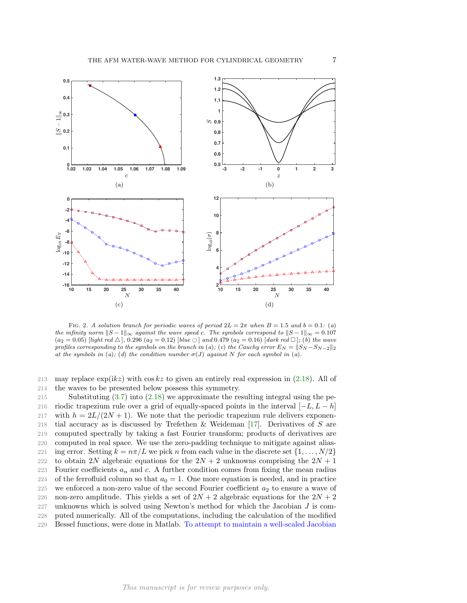<span id="page-6-0"></span>

FIG. 2. A solution branch for periodic waves of period  $2L = 2\pi$  when  $B = 1.5$  and  $b = 0.1$ : (a) the infinity norm  $||S - 1||_{\infty}$  against the wave speed c. The symbols correspond to  $||S - 1||_{\infty} = 0.107$  $(a_2 = 0.05)$  [light red  $\triangle$ ], 0.296  $(a_2 = 0.12)$  [blue  $\bigcirc$ ] and 0.479  $(a_2 = 0.16)$  [dark red  $\Box$ ]; (b) the wave profiles corresponding to the symbols on the branch in (a); (c) the Cauchy error  $E_N = ||S_N - S_{N-2}||_2$ at the symbols in (a); (d) the condition number  $\sigma(J)$  against N for each symbol in (a).

213 may replace  $\exp(ikz)$  with cos kz to given an entirely real expression in [\(2.18\)](#page-4-2). All of 214 the waves to be presented below possess this symmetry.

215 Substituting [\(3.7\)](#page-5-1) into [\(2.18\)](#page-4-2) we approximate the resulting integral using the pe-216 riodic trapezium rule over a grid of equally-spaced points in the interval  $[-L, L - h]$ 217 with  $h = 2L/(2N + 1)$ . We note that the periodic trapezium rule delivers exponen-218 tial accuracy as is discussed by Trefethen & Weideman [\[17\]](#page-10-18). Derivatives of S are 219 computed spectrally by taking a fast Fourier transform; products of derivatives are 220 computed in real space. We use the zero-padding technique to mitigate against alias-221 ing error. Setting  $k = n\pi/L$  we pick n from each value in the discrete set  $\{1, \ldots, N/2\}$ 222 to obtain 2N algebraic equations for the  $2N + 2$  unknowns comprising the  $2N + 1$ 223 Fourier coefficients  $a_n$  and c. A further condition comes from fixing the mean radius 224 of the ferrofluid column so that  $a_0 = 1$ . One more equation is needed, and in practice 225 we enforced a non-zero value of the second Fourier coefficient  $a_2$  to ensure a wave of 226 non-zero amplitude. This yields a set of  $2N + 2$  algebraic equations for the  $2N + 2$  $227$  unknowns which is solved using Newton's method for which the Jacobian  $J$  is com-228 puted numerically. All of the computations, including the calculation of the modified 229 Bessel functions, were done in Matlab. To attempt to maintain a well-scaled Jacobian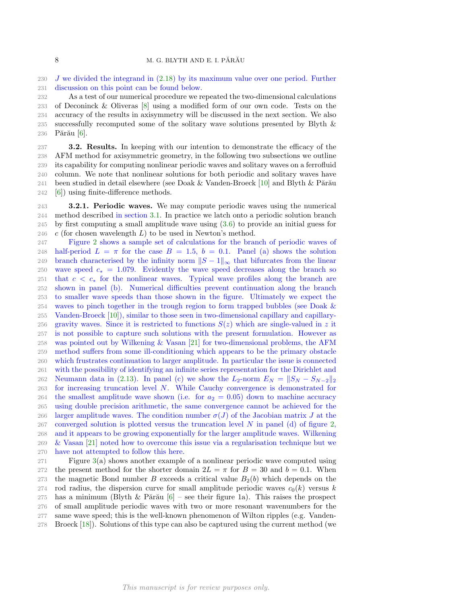J we divided the integrand in [\(2.18\)](#page-4-2) by its maximum value over one period. Further discussion on this point can be found below.

 As a test of our numerical procedure we repeated the two-dimensional calculations of Deconinck & Oliveras [\[8\]](#page-10-2) using a modified form of our own code. Tests on the accuracy of the results in axisymmetry will be discussed in the next section. We also successfully recomputed some of the solitary wave solutions presented by Blyth & 236 Părău [\[6\]](#page-10-14).

237 3.2. Results. In keeping with our intention to demonstrate the efficacy of the AFM method for axisymmetric geometry, in the following two subsections we outline its capability for computing nonlinear periodic waves and solitary waves on a ferrofluid column. We note that nonlinear solutions for both periodic and solitary waves have 241 been studied in detail elsewhere (see Doak & Vanden-Broeck [\[10\]](#page-10-17) and Blyth & Părău [\[6\]](#page-10-14)) using finite-difference methods.

<span id="page-7-0"></span> 3.2.1. Periodic waves. We may compute periodic waves using the numerical method described in section [3.1.](#page-5-2) In practice we latch onto a periodic solution branch by first computing a small amplitude wave using [\(3.6\)](#page-5-3) to provide an initial guess for 246 c (for chosen wavelength  $L$ ) to be used in Newton's method.

 Figure [2](#page-6-0) shows a sample set of calculations for the branch of periodic waves of 248 half-period  $L = \pi$  for the case  $B = 1.5$ ,  $b = 0.1$ . Panel (a) shows the solution 249 branch characterised by the infinity norm  $||S - 1||_{\infty}$  that bifurcates from the linear 250 wave speed  $c_* = 1.079$ . Evidently the wave speed decreases along the branch so 251 that  $c < c_*$  for the nonlinear waves. Typical wave profiles along the branch are shown in panel (b). Numerical difficulties prevent continuation along the branch to smaller wave speeds than those shown in the figure. Ultimately we expect the waves to pinch together in the trough region to form trapped bubbles (see Doak & Vanden-Broeck [\[10\]](#page-10-17)), similar to those seen in two-dimensional capillary and capillary-256 gravity waves. Since it is restricted to functions  $S(z)$  which are single-valued in z it is not possible to capture such solutions with the present formulation. However as was pointed out by Wilkening & Vasan [\[21\]](#page-10-7) for two-dimensional problems, the AFM method suffers from some ill-conditioning which appears to be the primary obstacle which frustrates continuation to larger amplitude. In particular the issue is connected with the possibility of identifying an infinite series representation for the Dirichlet and 262 Neumann data in [\(2.13\)](#page-3-4). In panel (c) we show the  $L_2$ -norm  $E_N = ||S_N - S_{N-2}||_2$  for increasing truncation level N. While Cauchy convergence is demonstrated for 264 the smallest amplitude wave shown (i.e. for  $a_2 = 0.05$ ) down to machine accuracy using double precision arithmetic, the same convergence cannot be achieved for the 266 larger amplitude waves. The condition number  $\sigma(J)$  of the Jacobian matrix J at the 267 converged solution is plotted versus the truncation level N in panel (d) of figure [2,](#page-6-0) and it appears to be growing exponentially for the larger amplitude waves. Wilkening & Vasan [\[21\]](#page-10-7) noted how to overcome this issue via a regularisation technique but we have not attempted to follow this here.

 Figure [3\(](#page-8-0)a) shows another example of a nonlinear periodic wave computed using 272 the present method for the shorter domain  $2L = \pi$  for  $B = 30$  and  $b = 0.1$ . When 273 the magnetic Bond number B exceeds a critical value  $B_2(b)$  which depends on the 274 rod radius, the dispersion curve for small amplitude periodic waves  $c_0(k)$  versus k 275 has a minimum (Blyth & Părău  $[6]$  – see their figure 1a). This raises the prospect of small amplitude periodic waves with two or more resonant wavenumbers for the same wave speed; this is the well-known phenomenon of Wilton ripples (e.g. Vanden-Broeck [\[18\]](#page-10-19)). Solutions of this type can also be captured using the current method (we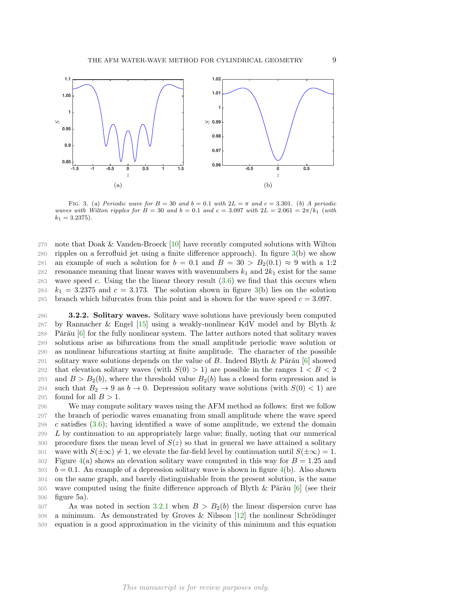<span id="page-8-0"></span>

FIG. 3. (a) Periodic wave for  $B = 30$  and  $b = 0.1$  with  $2L = \pi$  and  $c = 3.301$ . (b) A periodic waves with Wilton ripples for  $B = 30$  and  $b = 0.1$  and  $c = 3.097$  with  $2L = 2.061 = 2\pi/k_1$  (with  $k_1 = 3.2375$ .

279 note that Doak & Vanden-Broeck [\[10\]](#page-10-17) have recently computed solutions with Wilton 280 ripples on a ferrofluid jet using a finite difference approach). In figure [3\(](#page-8-0)b) we show 281 an example of such a solution for  $b = 0.1$  and  $B = 30 > B<sub>2</sub>(0.1) \approx 9$  with a 1:2 282 resonance meaning that linear waves with wavenumbers  $k_1$  and  $2k_1$  exist for the same 283 wave speed c. Using the the linear theory result  $(3.6)$  we find that this occurs when  $284$   $k_1 = 3.2375$  and  $c = 3.173$ . The solution shown in figure [3\(](#page-8-0)b) lies on the solution 285 branch which bifurcates from this point and is shown for the wave speed  $c = 3.097$ .

286 3.2.2. Solitary waves. Solitary wave solutions have previously been computed 287 by Rannacher & Engel [\[15\]](#page-10-12) using a weakly-nonlinear KdV model and by Blyth & 288 Părău  $\left| 6 \right|$  for the fully nonlinear system. The latter authors noted that solitary waves 289 solutions arise as bifurcations from the small amplitude periodic wave solution or 290 as nonlinear bifurcations starting at finite amplitude. The character of the possible 291 solitary wave solutions depends on the value of B. Indeed Blyth & Părău  $[6]$  showed 292 that elevation solitary waves (with  $S(0) > 1$ ) are possible in the ranges  $1 < B < 2$ 293 and  $B > B_2(b)$ , where the threshold value  $B_2(b)$  has a closed form expression and is 294 such that  $B_2 \to 9$  as  $b \to 0$ . Depression solitary wave solutions (with  $S(0) < 1$ ) are 295 found for all  $B > 1$ .

296 We may compute solitary waves using the AFM method as follows: first we follow 297 the branch of periodic waves emanating from small amplitude where the wave speed 298 c satisfies  $(3.6)$ ; having identified a wave of some amplitude, we extend the domain 299 L by continuation to an appropriately large value; finally, noting that our numerical 300 procedure fixes the mean level of  $S(z)$  so that in general we have attained a solitary 301 wave with  $S(\pm \infty) \neq 1$ , we elevate the far-field level by continuation until  $S(\pm \infty) = 1$ .  $302$  Figure [4\(](#page-9-0)a) shows an elevation solitary wave computed in this way for  $B = 1.25$  and  $303 \text{ } b = 0.1$ . An example of a depression solitary wave is shown in figure [4\(](#page-9-0)b). Also shown 304 on the same graph, and barely distinguishable from the present solution, is the same 305 wave computed using the finite difference approach of Blyth  $\&$  Părău [\[6\]](#page-10-14) (see their 306 figure 5a).

307 As was noted in section [3.2.1](#page-7-0) when  $B > B<sub>2</sub>(b)$  the linear dispersion curve has  $308$  a minimum. As demonstrated by Groves & Nilsson [\[12\]](#page-10-20) the nonlinear Schrödinger 309 equation is a good approximation in the vicinity of this minimum and this equation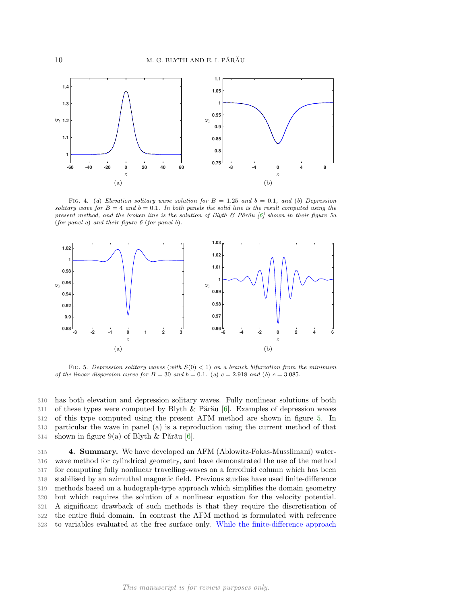<span id="page-9-0"></span>

FIG. 4. (a) Elevation solitary wave solution for  $B = 1.25$  and  $b = 0.1$ , and (b) Depression solitary wave for  $B = 4$  and  $b = 0.1$ . In both panels the solid line is the result computed using the present method, and the broken line is the solution of Blyth  $\mathcal B$  Părău [\[6\]](#page-10-14) shown in their figure 5a (for panel a) and their figure 6 (for panel b).

<span id="page-9-1"></span>

FIG. 5. Depression solitary waves (with  $S(0) < 1$ ) on a branch bifurcation from the minimum of the linear dispersion curve for  $B = 30$  and  $b = 0.1$ . (a)  $c = 2.918$  and (b)  $c = 3.085$ .

310 has both elevation and depression solitary waves. Fully nonlinear solutions of both 311 of these types were computed by Blyth & Părău  $[6]$ . Examples of depression waves 312 of this type computed using the present AFM method are shown in figure [5.](#page-9-1) In 313 particular the wave in panel (a) is a reproduction using the current method of that 314 shown in figure 9(a) of Blyth & Părău  $[6]$ .

 4. Summary. We have developed an AFM (Ablowitz-Fokas-Musslimani) water- wave method for cylindrical geometry, and have demonstrated the use of the method for computing fully nonlinear travelling-waves on a ferrofluid column which has been stabilised by an azimuthal magnetic field. Previous studies have used finite-difference methods based on a hodograph-type approach which simplifies the domain geometry but which requires the solution of a nonlinear equation for the velocity potential. A significant drawback of such methods is that they require the discretisation of the entire fluid domain. In contrast the AFM method is formulated with reference to variables evaluated at the free surface only. While the finite-difference approach